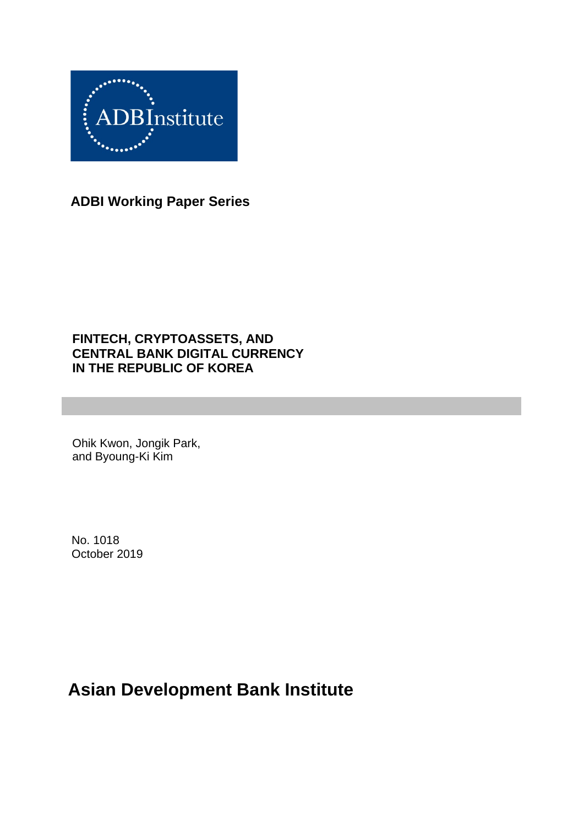

**ADBI Working Paper Series**

### **FINTECH, CRYPTOASSETS, AND CENTRAL BANK DIGITAL CURRENCY IN THE REPUBLIC OF KOREA**

Ohik Kwon, Jongik Park, and Byoung-Ki Kim

No. 1018 October 2019

# **Asian Development Bank Institute**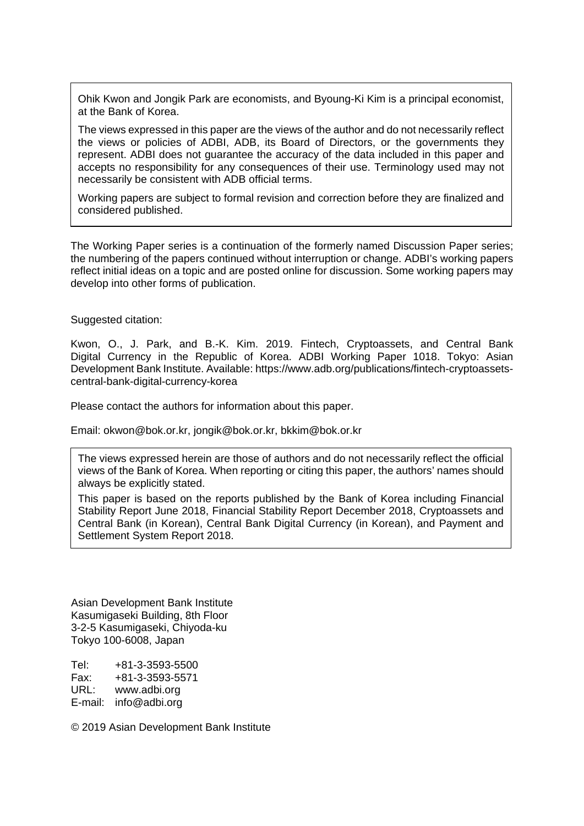Ohik Kwon and Jongik Park are economists, and Byoung-Ki Kim is a principal economist, at the Bank of Korea.

The views expressed in this paper are the views of the author and do not necessarily reflect the views or policies of ADBI, ADB, its Board of Directors, or the governments they represent. ADBI does not guarantee the accuracy of the data included in this paper and accepts no responsibility for any consequences of their use. Terminology used may not necessarily be consistent with ADB official terms.

Working papers are subject to formal revision and correction before they are finalized and considered published.

The Working Paper series is a continuation of the formerly named Discussion Paper series; the numbering of the papers continued without interruption or change. ADBI's working papers reflect initial ideas on a topic and are posted online for discussion. Some working papers may develop into other forms of publication.

#### Suggested citation:

Kwon, O., J. Park, and B.-K. Kim. 2019. Fintech, Cryptoassets, and Central Bank Digital Currency in the Republic of Korea. ADBI Working Paper 1018. Tokyo: Asian Development Bank Institute. Available: https://www.adb.org/publications/fintech-cryptoassetscentral-bank-digital-currency-korea

Please contact the authors for information about this paper.

Email: okwon@bok.or.kr, jongik@bok.or.kr, bkkim@bok.or.kr

The views expressed herein are those of authors and do not necessarily reflect the official views of the Bank of Korea. When reporting or citing this paper, the authors' names should always be explicitly stated.

This paper is based on the reports published by the Bank of Korea including Financial Stability Report June 2018, Financial Stability Report December 2018, Cryptoassets and Central Bank (in Korean), Central Bank Digital Currency (in Korean), and Payment and Settlement System Report 2018.

Asian Development Bank Institute Kasumigaseki Building, 8th Floor 3-2-5 Kasumigaseki, Chiyoda-ku Tokyo 100-6008, Japan

Tel: +81-3-3593-5500 Fax: +81-3-3593-5571 URL: www.adbi.org E-mail: info@adbi.org

© 2019 Asian Development Bank Institute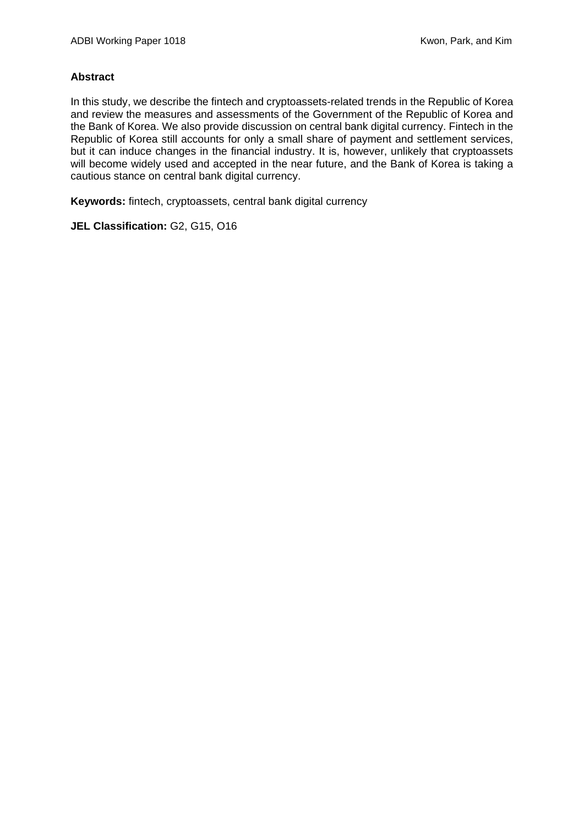#### **Abstract**

In this study, we describe the fintech and cryptoassets-related trends in the Republic of Korea and review the measures and assessments of the Government of the Republic of Korea and the Bank of Korea. We also provide discussion on central bank digital currency. Fintech in the Republic of Korea still accounts for only a small share of payment and settlement services, but it can induce changes in the financial industry. It is, however, unlikely that cryptoassets will become widely used and accepted in the near future, and the Bank of Korea is taking a cautious stance on central bank digital currency.

**Keywords:** fintech, cryptoassets, central bank digital currency

**JEL Classification:** G2, G15, O16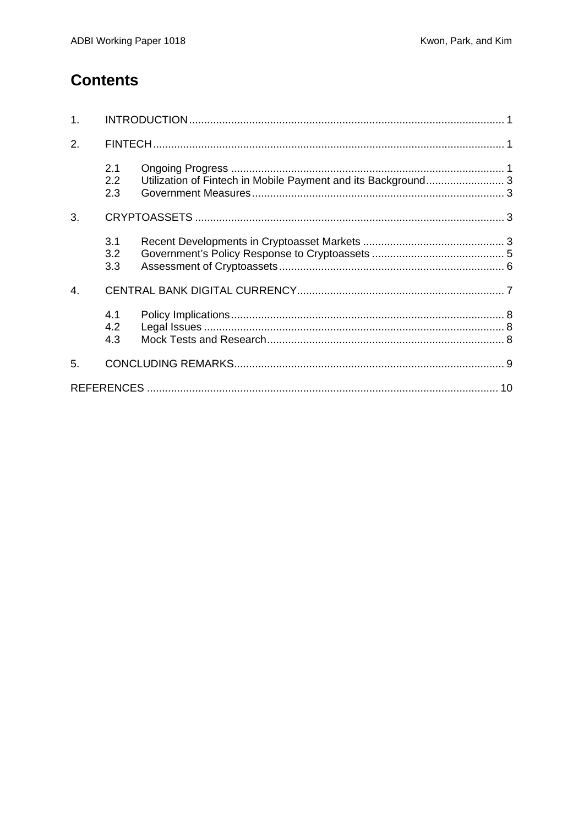## **Contents**

| 1 <sub>1</sub> |                   |                                                               |  |
|----------------|-------------------|---------------------------------------------------------------|--|
| 2.             |                   |                                                               |  |
|                | 2.1<br>2.2<br>2.3 | Utilization of Fintech in Mobile Payment and its Background 3 |  |
| 3.             |                   |                                                               |  |
|                | 3.1<br>3.2<br>3.3 |                                                               |  |
| 4.             |                   |                                                               |  |
|                | 4.1<br>4.2<br>4.3 |                                                               |  |
| 5.             |                   |                                                               |  |
|                |                   |                                                               |  |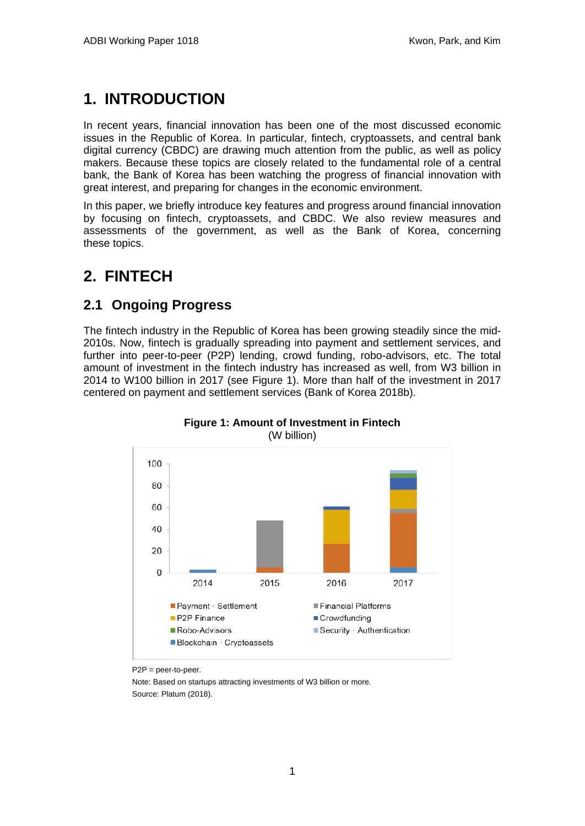# <span id="page-4-0"></span>**1. INTRODUCTION**

In recent years, financial innovation has been one of the most discussed economic issues in the Republic of Korea. In particular, fintech, cryptoassets, and central bank digital currency (CBDC) are drawing much attention from the public, as well as policy makers. Because these topics are closely related to the fundamental role of a central bank, the Bank of Korea has been watching the progress of financial innovation with great interest, and preparing for changes in the economic environment.

In this paper, we briefly introduce key features and progress around financial innovation by focusing on fintech, cryptoassets, and CBDC. We also review measures and assessments of the government, as well as the Bank of Korea, concerning these topics.

## <span id="page-4-1"></span>**2. FINTECH**

## <span id="page-4-2"></span>**2.1 Ongoing Progress**

The fintech industry in the Republic of Korea has been growing steadily since the mid-2010s. Now, fintech is gradually spreading into payment and settlement services, and further into peer-to-peer (P2P) lending, crowd funding, robo-advisors, etc. The total amount of investment in the fintech industry has increased as well, from W3 billion in 2014 to W100 billion in 2017 (see Figure 1). More than half of the investment in 2017 centered on payment and settlement services (Bank of Korea 2018b).



**Figure 1: Amount of Investment in Fintech** (W billion)

Note: Based on startups attracting investments of W3 billion or more. Source: Platum (2018).

P2P = peer-to-peer.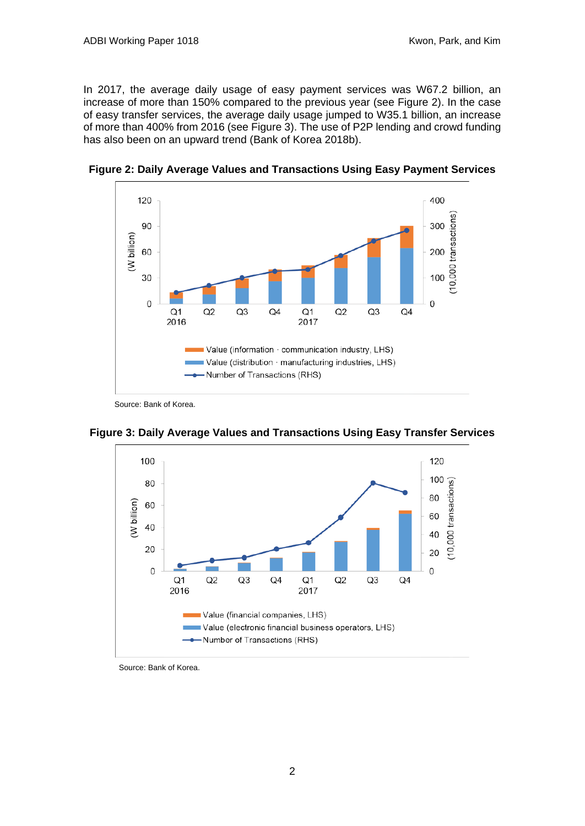In 2017, the average daily usage of easy payment services was W67.2 billion, an increase of more than 150% compared to the previous year (see Figure 2). In the case of easy transfer services, the average daily usage jumped to W35.1 billion, an increase of more than 400% from 2016 (see Figure 3). The use of P2P lending and crowd funding has also been on an upward trend (Bank of Korea 2018b).



**Figure 2: Daily Average Values and Transactions Using Easy Payment Services**

**Figure 3: Daily Average Values and Transactions Using Easy Transfer Services**



Source: Bank of Korea.

Source: Bank of Korea.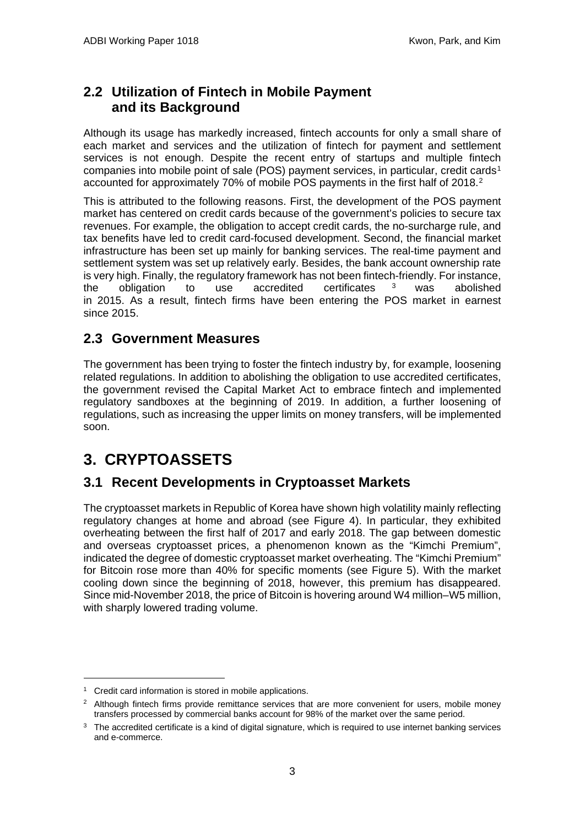## <span id="page-6-0"></span>**2.2 Utilization of Fintech in Mobile Payment and its Background**

Although its usage has markedly increased, fintech accounts for only a small share of each market and services and the utilization of fintech for payment and settlement services is not enough. Despite the recent entry of startups and multiple fintech companies into mobile point of sale (POS) payment services, in particular, credit cards<sup>[1](#page-6-4)</sup> accounted for approximately 70% of mobile POS payments in the first half of [2](#page-6-5)018.<sup>2</sup>

This is attributed to the following reasons. First, the development of the POS payment market has centered on credit cards because of the government's policies to secure tax revenues. For example, the obligation to accept credit cards, the no-surcharge rule, and tax benefits have led to credit card-focused development. Second, the financial market infrastructure has been set up mainly for banking services. The real-time payment and settlement system was set up relatively early. Besides, the bank account ownership rate is very high. Finally, the regulatory framework has not been fintech-friendly. For instance, the obligation to use accredited certificates <sup>[3](#page-6-6)</sup> was abolished in 2015. As a result, fintech firms have been entering the POS market in earnest since 2015.

### <span id="page-6-1"></span>**2.3 Government Measures**

The government has been trying to foster the fintech industry by, for example, loosening related regulations. In addition to abolishing the obligation to use accredited certificates, the government revised the Capital Market Act to embrace fintech and implemented regulatory sandboxes at the beginning of 2019. In addition, a further loosening of regulations, such as increasing the upper limits on money transfers, will be implemented soon.

## <span id="page-6-2"></span>**3. CRYPTOASSETS**

### <span id="page-6-3"></span>**3.1 Recent Developments in Cryptoasset Markets**

The cryptoasset markets in Republic of Korea have shown high volatility mainly reflecting regulatory changes at home and abroad (see Figure 4). In particular, they exhibited overheating between the first half of 2017 and early 2018. The gap between domestic and overseas cryptoasset prices, a phenomenon known as the "Kimchi Premium", indicated the degree of domestic cryptoasset market overheating. The "Kimchi Premium" for Bitcoin rose more than 40% for specific moments (see Figure 5). With the market cooling down since the beginning of 2018, however, this premium has disappeared. Since mid-November 2018, the price of Bitcoin is hovering around W4 million–W5 million, with sharply lowered trading volume.

<span id="page-6-4"></span><sup>&</sup>lt;sup>1</sup> Credit card information is stored in mobile applications.

<span id="page-6-5"></span><sup>&</sup>lt;sup>2</sup> Although fintech firms provide remittance services that are more convenient for users, mobile money transfers processed by commercial banks account for 98% of the market over the same period.

<span id="page-6-6"></span><sup>&</sup>lt;sup>3</sup> The accredited certificate is a kind of digital signature, which is required to use internet banking services and e-commerce.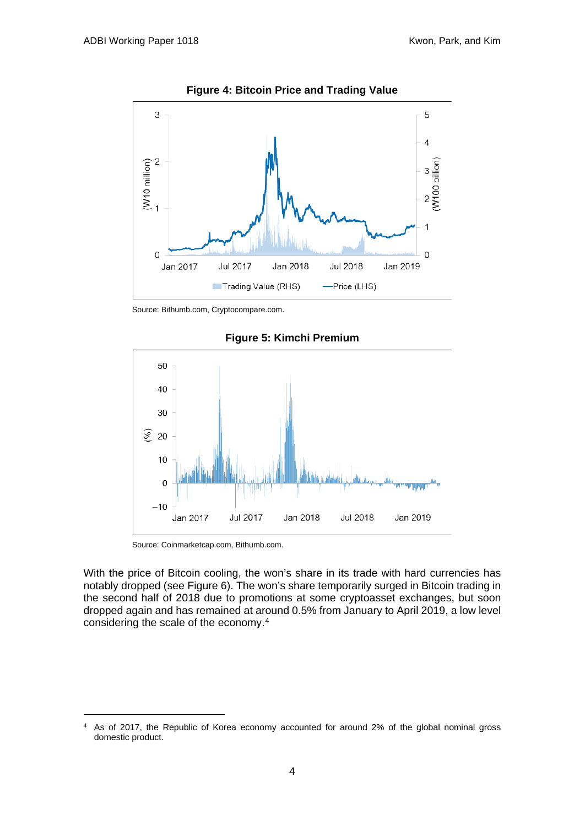

**Figure 4: Bitcoin Price and Trading Value**

Source: Bithumb.com, Cryptocompare.com.



**Figure 5: Kimchi Premium**

Source: Coinmarketcap.com, Bithumb.com.

With the price of Bitcoin cooling, the won's share in its trade with hard currencies has notably dropped (see Figure 6). The won's share temporarily surged in Bitcoin trading in the second half of 2018 due to promotions at some cryptoasset exchanges, but soon dropped again and has remained at around 0.5% from January to April 2019, a low level considering the scale of the economy.[4](#page-7-0)

<span id="page-7-0"></span><sup>4</sup> As of 2017, the Republic of Korea economy accounted for around 2% of the global nominal gross domestic product.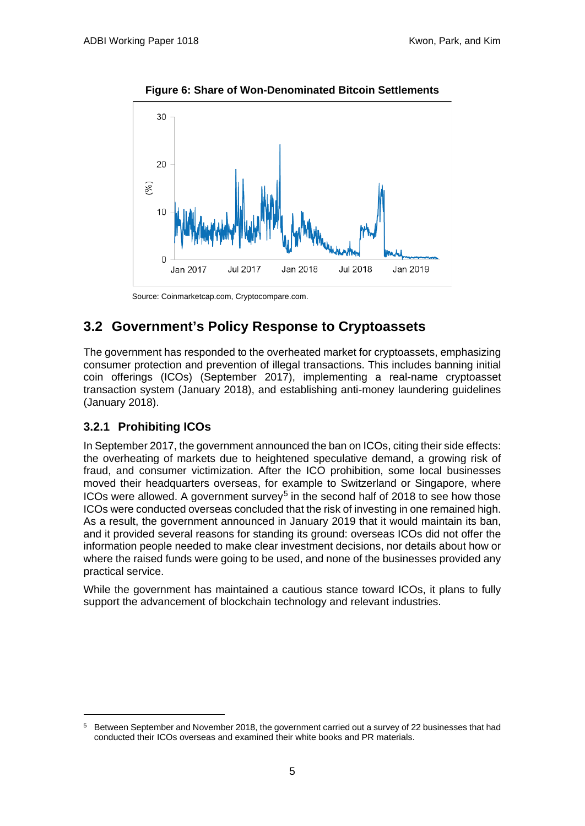

**Figure 6: Share of Won-Denominated Bitcoin Settlements**

Source: Coinmarketcap.com, Cryptocompare.com.

## <span id="page-8-0"></span>**3.2 Government's Policy Response to Cryptoassets**

The government has responded to the overheated market for cryptoassets, emphasizing consumer protection and prevention of illegal transactions. This includes banning initial coin offerings (ICOs) (September 2017), implementing a real-name cryptoasset transaction system (January 2018), and establishing anti-money laundering guidelines (January 2018).

### **3.2.1 Prohibiting ICOs**

In September 2017, the government announced the ban on ICOs, citing their side effects: the overheating of markets due to heightened speculative demand, a growing risk of fraud, and consumer victimization. After the ICO prohibition, some local businesses moved their headquarters overseas, for example to Switzerland or Singapore, where ICOs were allowed. A government survey<sup>[5](#page-8-1)</sup> in the second half of 2018 to see how those ICOs were conducted overseas concluded that the risk of investing in one remained high. As a result, the government announced in January 2019 that it would maintain its ban, and it provided several reasons for standing its ground: overseas ICOs did not offer the information people needed to make clear investment decisions, nor details about how or where the raised funds were going to be used, and none of the businesses provided any practical service.

While the government has maintained a cautious stance toward ICOs, it plans to fully support the advancement of blockchain technology and relevant industries.

<span id="page-8-1"></span><sup>5</sup> Between September and November 2018, the government carried out a survey of 22 businesses that had conducted their ICOs overseas and examined their white books and PR materials.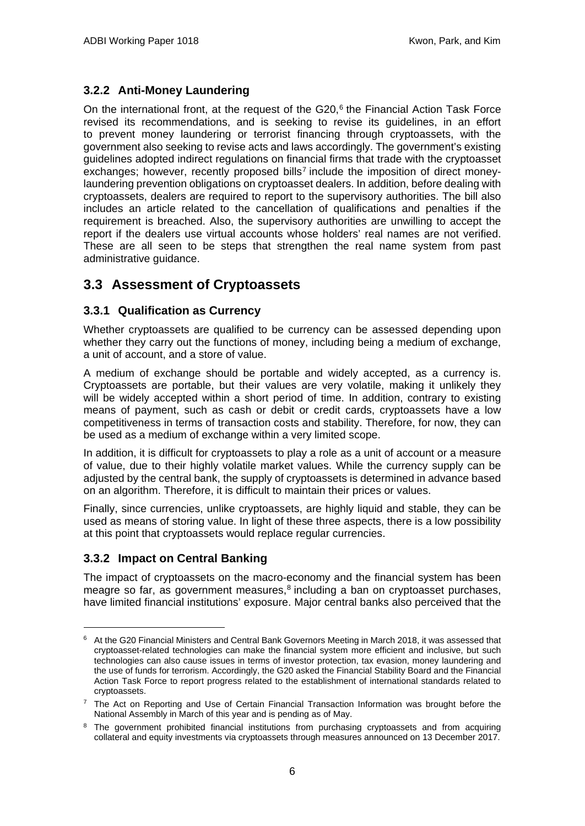### **3.2.2 Anti-Money Laundering**

On the international front, at the request of the  $G20$ ,  $6$  the Financial Action Task Force revised its recommendations, and is seeking to revise its guidelines, in an effort to prevent money laundering or terrorist financing through cryptoassets, with the government also seeking to revise acts and laws accordingly. The government's existing guidelines adopted indirect regulations on financial firms that trade with the cryptoasset exchanges; however, recently proposed bills<sup>[7](#page-9-2)</sup> include the imposition of direct moneylaundering prevention obligations on cryptoasset dealers. In addition, before dealing with cryptoassets, dealers are required to report to the supervisory authorities. The bill also includes an article related to the cancellation of qualifications and penalties if the requirement is breached. Also, the supervisory authorities are unwilling to accept the report if the dealers use virtual accounts whose holders' real names are not verified. These are all seen to be steps that strengthen the real name system from past administrative guidance.

### <span id="page-9-0"></span>**3.3 Assessment of Cryptoassets**

### **3.3.1 Qualification as Currency**

Whether cryptoassets are qualified to be currency can be assessed depending upon whether they carry out the functions of money, including being a medium of exchange, a unit of account, and a store of value.

A medium of exchange should be portable and widely accepted, as a currency is. Cryptoassets are portable, but their values are very volatile, making it unlikely they will be widely accepted within a short period of time. In addition, contrary to existing means of payment, such as cash or debit or credit cards, cryptoassets have a low competitiveness in terms of transaction costs and stability. Therefore, for now, they can be used as a medium of exchange within a very limited scope.

In addition, it is difficult for cryptoassets to play a role as a unit of account or a measure of value, due to their highly volatile market values. While the currency supply can be adjusted by the central bank, the supply of cryptoassets is determined in advance based on an algorithm. Therefore, it is difficult to maintain their prices or values.

Finally, since currencies, unlike cryptoassets, are highly liquid and stable, they can be used as means of storing value. In light of these three aspects, there is a low possibility at this point that cryptoassets would replace regular currencies.

### **3.3.2 Impact on Central Banking**

The impact of cryptoassets on the macro-economy and the financial system has been meagre so far, as government measures,<sup>[8](#page-9-3)</sup> including a ban on cryptoasset purchases, have limited financial institutions' exposure. Major central banks also perceived that the

<span id="page-9-1"></span><sup>6</sup> At the G20 Financial Ministers and Central Bank Governors Meeting in March 2018, it was assessed that cryptoasset-related technologies can make the financial system more efficient and inclusive, but such technologies can also cause issues in terms of investor protection, tax evasion, money laundering and the use of funds for terrorism. Accordingly, the G20 asked the Financial Stability Board and the Financial Action Task Force to report progress related to the establishment of international standards related to cryptoassets.

<span id="page-9-2"></span> $7$  The Act on Reporting and Use of Certain Financial Transaction Information was brought before the National Assembly in March of this year and is pending as of May.

<span id="page-9-3"></span><sup>&</sup>lt;sup>8</sup> The government prohibited financial institutions from purchasing cryptoassets and from acquiring collateral and equity investments via cryptoassets through measures announced on 13 December 2017.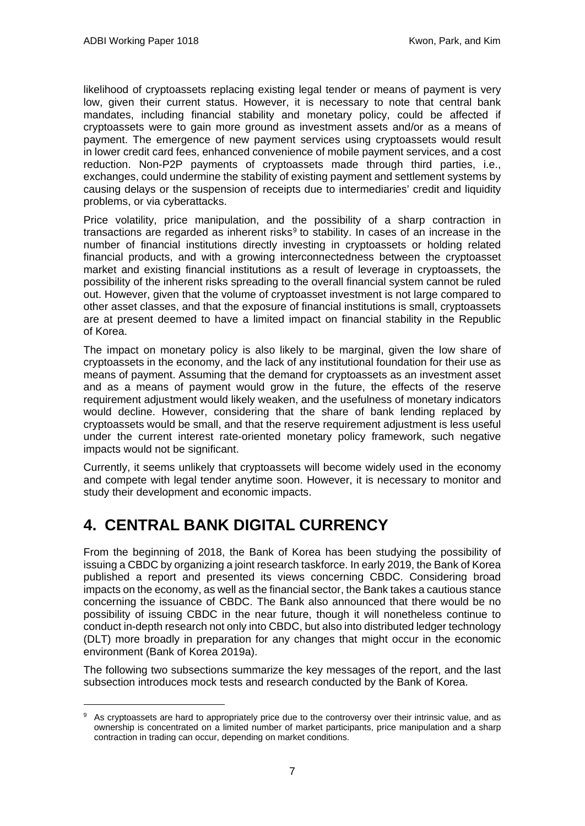likelihood of cryptoassets replacing existing legal tender or means of payment is very low, given their current status. However, it is necessary to note that central bank mandates, including financial stability and monetary policy, could be affected if cryptoassets were to gain more ground as investment assets and/or as a means of payment. The emergence of new payment services using cryptoassets would result in lower credit card fees, enhanced convenience of mobile payment services, and a cost reduction. Non-P2P payments of cryptoassets made through third parties, i.e., exchanges, could undermine the stability of existing payment and settlement systems by causing delays or the suspension of receipts due to intermediaries' credit and liquidity problems, or via cyberattacks.

Price volatility, price manipulation, and the possibility of a sharp contraction in transactions are regarded as inherent risks $9$  to stability. In cases of an increase in the number of financial institutions directly investing in cryptoassets or holding related financial products, and with a growing interconnectedness between the cryptoasset market and existing financial institutions as a result of leverage in cryptoassets, the possibility of the inherent risks spreading to the overall financial system cannot be ruled out. However, given that the volume of cryptoasset investment is not large compared to other asset classes, and that the exposure of financial institutions is small, cryptoassets are at present deemed to have a limited impact on financial stability in the Republic of Korea.

The impact on monetary policy is also likely to be marginal, given the low share of cryptoassets in the economy, and the lack of any institutional foundation for their use as means of payment. Assuming that the demand for cryptoassets as an investment asset and as a means of payment would grow in the future, the effects of the reserve requirement adjustment would likely weaken, and the usefulness of monetary indicators would decline. However, considering that the share of bank lending replaced by cryptoassets would be small, and that the reserve requirement adjustment is less useful under the current interest rate-oriented monetary policy framework, such negative impacts would not be significant.

Currently, it seems unlikely that cryptoassets will become widely used in the economy and compete with legal tender anytime soon. However, it is necessary to monitor and study their development and economic impacts.

## <span id="page-10-0"></span>**4. CENTRAL BANK DIGITAL CURRENCY**

From the beginning of 2018, the Bank of Korea has been studying the possibility of issuing a CBDC by organizing a joint research taskforce. In early 2019, the Bank of Korea published a report and presented its views concerning CBDC. Considering broad impacts on the economy, as well as the financial sector, the Bank takes a cautious stance concerning the issuance of CBDC. The Bank also announced that there would be no possibility of issuing CBDC in the near future, though it will nonetheless continue to conduct in-depth research not only into CBDC, but also into distributed ledger technology (DLT) more broadly in preparation for any changes that might occur in the economic environment (Bank of Korea 2019a).

The following two subsections summarize the key messages of the report, and the last subsection introduces mock tests and research conducted by the Bank of Korea.

<span id="page-10-1"></span><sup>&</sup>lt;sup>9</sup> As cryptoassets are hard to appropriately price due to the controversy over their intrinsic value, and as ownership is concentrated on a limited number of market participants, price manipulation and a sharp contraction in trading can occur, depending on market conditions.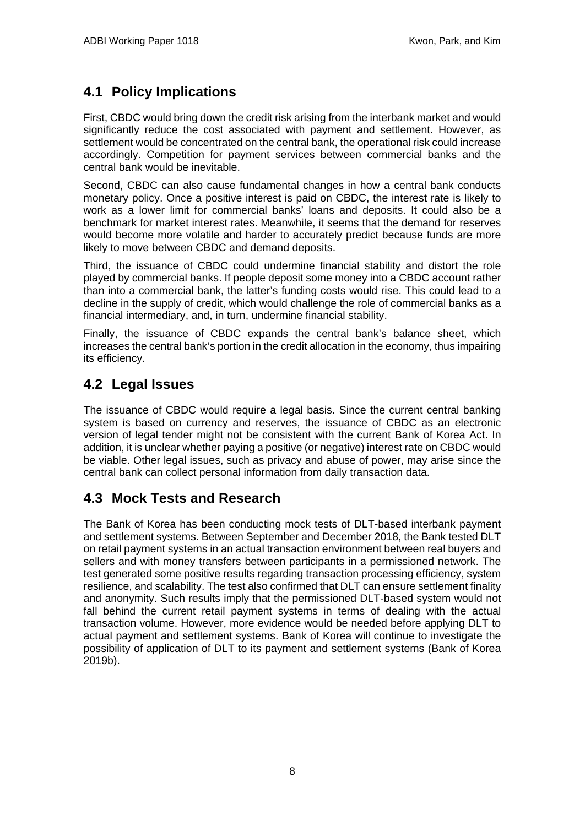## <span id="page-11-0"></span>**4.1 Policy Implications**

First, CBDC would bring down the credit risk arising from the interbank market and would significantly reduce the cost associated with payment and settlement. However, as settlement would be concentrated on the central bank, the operational risk could increase accordingly. Competition for payment services between commercial banks and the central bank would be inevitable.

Second, CBDC can also cause fundamental changes in how a central bank conducts monetary policy. Once a positive interest is paid on CBDC, the interest rate is likely to work as a lower limit for commercial banks' loans and deposits. It could also be a benchmark for market interest rates. Meanwhile, it seems that the demand for reserves would become more volatile and harder to accurately predict because funds are more likely to move between CBDC and demand deposits.

Third, the issuance of CBDC could undermine financial stability and distort the role played by commercial banks. If people deposit some money into a CBDC account rather than into a commercial bank, the latter's funding costs would rise. This could lead to a decline in the supply of credit, which would challenge the role of commercial banks as a financial intermediary, and, in turn, undermine financial stability.

Finally, the issuance of CBDC expands the central bank's balance sheet, which increases the central bank's portion in the credit allocation in the economy, thus impairing its efficiency.

## <span id="page-11-1"></span>**4.2 Legal Issues**

The issuance of CBDC would require a legal basis. Since the current central banking system is based on currency and reserves, the issuance of CBDC as an electronic version of legal tender might not be consistent with the current Bank of Korea Act. In addition, it is unclear whether paying a positive (or negative) interest rate on CBDC would be viable. Other legal issues, such as privacy and abuse of power, may arise since the central bank can collect personal information from daily transaction data.

### <span id="page-11-2"></span>**4.3 Mock Tests and Research**

The Bank of Korea has been conducting mock tests of DLT-based interbank payment and settlement systems. Between September and December 2018, the Bank tested DLT on retail payment systems in an actual transaction environment between real buyers and sellers and with money transfers between participants in a permissioned network. The test generated some positive results regarding transaction processing efficiency, system resilience, and scalability. The test also confirmed that DLT can ensure settlement finality and anonymity. Such results imply that the permissioned DLT-based system would not fall behind the current retail payment systems in terms of dealing with the actual transaction volume. However, more evidence would be needed before applying DLT to actual payment and settlement systems. Bank of Korea will continue to investigate the possibility of application of DLT to its payment and settlement systems (Bank of Korea 2019b).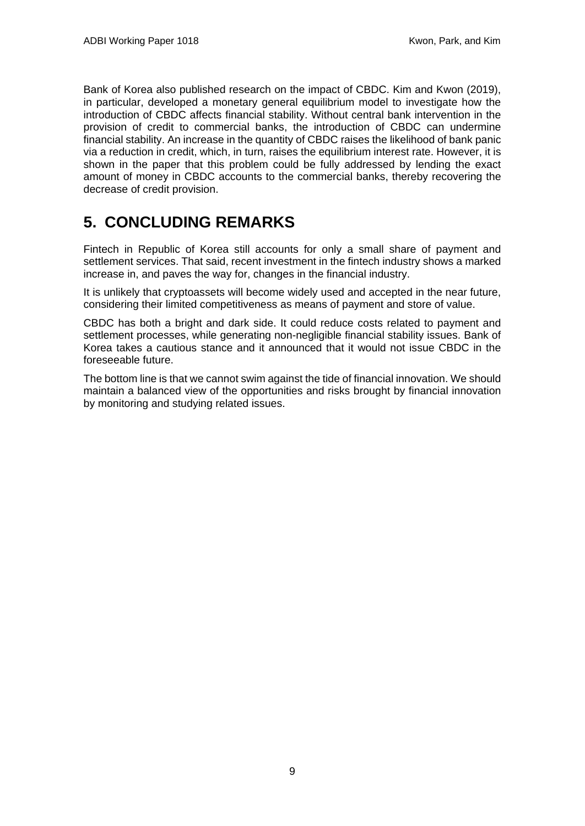Bank of Korea also published research on the impact of CBDC. Kim and Kwon (2019), in particular, developed a monetary general equilibrium model to investigate how the introduction of CBDC affects financial stability. Without central bank intervention in the provision of credit to commercial banks, the introduction of CBDC can undermine financial stability. An increase in the quantity of CBDC raises the likelihood of bank panic via a reduction in credit, which, in turn, raises the equilibrium interest rate. However, it is shown in the paper that this problem could be fully addressed by lending the exact amount of money in CBDC accounts to the commercial banks, thereby recovering the decrease of credit provision.

## <span id="page-12-0"></span>**5. CONCLUDING REMARKS**

Fintech in Republic of Korea still accounts for only a small share of payment and settlement services. That said, recent investment in the fintech industry shows a marked increase in, and paves the way for, changes in the financial industry.

It is unlikely that cryptoassets will become widely used and accepted in the near future, considering their limited competitiveness as means of payment and store of value.

CBDC has both a bright and dark side. It could reduce costs related to payment and settlement processes, while generating non-negligible financial stability issues. Bank of Korea takes a cautious stance and it announced that it would not issue CBDC in the foreseeable future.

The bottom line is that we cannot swim against the tide of financial innovation. We should maintain a balanced view of the opportunities and risks brought by financial innovation by monitoring and studying related issues.